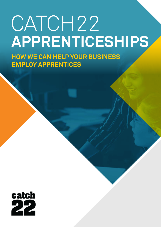# CATCH<sub>22</sub> **APPRENTICESHIPS**

**HOW WE CAN HELP YOUR BUSINESS EMPLOY APPRENTICES**

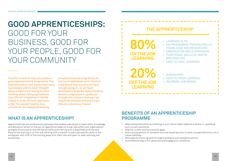# **GOOD APPRENTICESHIPS:**  GOOD FOR YOUR BUSINESS, GOOD FOR YOUR PEOPLE, GOOD FOR YOUR COMMUNITY



Apprenticeships are professional pathways that enable individuals to learn skills, knowledge and behaviour whilst on the job. An apprentice takes on a real role within your organisation, and gets structured on and off the job skills and training with a qualification at the end. Most of the training is on-the-job, working with a mentor to learn job specific skills in the workplace, with 20% of the training away from their role with peer-to-peer learning and workshops.

### **THE APPRENTICESHIP**

• WORKSHOPS • PEER-TO-PEER LEARNING • INFORMAL JOB SWAPS

- Help raise productivity by investing in your future talent pipeline and also in upskilling your current workforce.
- Help fill current and future skills gaps.
- Give a young person, or someone who has faced barriers to work, a supported entry into a career pathway.
- Stimulate economic growth through building a more skilled workforce
- Cost effective way to fill vacancies and engage your workforce.

• I FARNING PLAN • ON PROGRAMME TRAINING SKILLS, KNOWLEDGE AND BEHAVIOURS • OBSERVATION AND SUPERVISION • FUNCTIONAL SKILLS (IE: MATHS AND ENGLISH) • FACE-TO-FACE LEARNING

**20%**

**80% ON THE JOB LEARNING**

**OFF THE JOB** 

**LEARNING**

Catch22 is here to help you create a good apprenticeship programme. The Apprenticeship Levy means that many businesses who've never thought about it before are having to start thinking about hiring apprentices. One-fifth of companies in the UK intend to write off their payments under the apprenticeship levy scheme as tax, seeing developing

### **BENEFITS OF AN APPRENTICESHIP PROGRAMME**

an apprenticeship programme as too much additional work. Catch22 understand that businesses have enough going on, so we have developed a bespoke apprenticeship delivery programme to guide you through the process, making it as simple as possible and ensuring it delivers a business impact.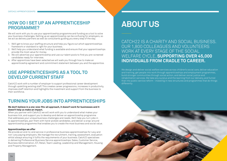

### **HOW DO I SET UP AN APPRENTICESHIP PROGRAMME?**

We will work with you to use your apprenticeship programme and funding as a tool to solve your business challenges. Setting up an apprenticeship can be confusing for employers, so we act as delivery partners as well as consultants guiding you every step of the way.

- 1. We'll get to know your staffing structure and help you figure out which apprenticeships framework or standard is right for your business.
- 2. We'll help you understand what funding is available and ensure that your apprenticeships provide the most value for money.
- 3. We will advertise your apprenticeship and use our talent pools to find you pre-screened candidates ready for interview.
- 4. After apprentices have been selected we will walk you through how to make an apprenticeship agreement and commitment statement between you and the apprentice.

# **ABOUT US**

CATCH22 IS A CHARITY AND SOCIAL BUSINESS. OUR 1,800 COLLEAGUES AND VOLUNTEERS WORK AT EVERY STAGE OF THE SOCIAL WELFARE CYCLE, **SUPPORTING OVER 45,000 INDIVIDUALS FROM CRADLE TO CAREER.** 

We design and deliver social welfare services across children's social care, deliver education and training, get people into work through apprenticeships and employment programmes, build stronger communities through social action, and deliver social justice and rehabilitation services. We take any surplus and the learning from our delivery, and funnel that into public service reform - investing in new structures and programmes that do things differently

### **USE APPRENTICESHIPS AS A TOOL TO DEVELOP CURRENT STAFF**

Catch22 work with a number of employer to support professional career development through upskilling existing staff. This creates career progressions, increases in productivity, improves staff retention and highlights the investment and support from the business to their workforce.

### **TURNING YOUR JOBS INTO APPRENTICESHIPS**

#### **We don't believe in a one-size-fits-all approach, it doesn't work for businesses and it doesn't help us make an impact.**

When you partner with Catch22 we will work with you to understand what makes your business tick, and support you to develop and deliver an apprenticeship programme that addresses your unique business challenges and needs. We'll help you turn jobs in to apprenticeships, pair them with hand-picked candidates, and deliver a wrap-around apprenticeship programme that enables you to create the most business and social value.

#### **Apprenticeships we offer**

We provide an end-to-end service in professional business apprenticeships for Levy and non-Levy paying employers. We manage the recruitment, training, assessment, evaluation whilst always ensuring it fulfils the requirements of your business. Catch22 specialises in delivering Professional Business Service apprenticeships: Sales, Customer Service, Business Administration, ICT, Retail, Team Leading, Leadership and Management, Housing and Property Management.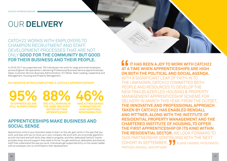Apprentices come to your business ready to learn on the job, gain skills in the way that you work, and stay with you to move up in your company. We work with you to provide apprentices with the hard and soft skills they need to progress, and their dedicated Catch22 trainer provides wrap-around support they need to thrive. You get ambitious, dedicated, and diverse staff that understand the way you work. Individuals get supported entry on the career ladder with an employer who is committed to their development.

### **APPRENTICESHIPS MAKE BUSINESS AND SOCIAL SENSE**

### **<u>If It HAS BEEN A JOY TO WORK WITH CATCH22</u> AT A TIME WHEN APPRENTICESHIPS ARE HIGH ON BOTH THE POLITICAL AND SOCIAL AGENDA.**

**OF APPRENTICES ARE STILL IN EMPLOYMENT 95% 88% 46%**  WITH A SIGNIFICANT LEAP OF FAITH IN TO THE UNKNOWN, CATCH22 COMMITTED BOTH PEOPLE AND RESOURCES TO DEVELOP THE NEW TRAILBLAZER LED HOUSING & PROPERTY MANAGEMENT APPRENTICESHIP SCHEME FOR DELIVERY IN MARCH THIS YEAR. FROM THE OUTSET, **THE INNOVATIVE AND PROFESSIONAL APPROACH TAKEN BY CATCH22 HAS ENABLED RENDALL AND RITTNER, ALONG WITH THE INSTITUTE OF RESIDENTIAL PROPERTY MANAGEMENT AND THE CHARTERED INSTITUTE OF HOUSING, TO OFFER THE FIRST APPRENTICESHIP OF ITS KIND WITHIN THE RESIDENTIAL SECTOR.** WE LOOK FORWARD TO THIS PARTNERSHIP CONTINUING WITH THE NEXT COHORT IN SEPTEMBER. JU ELAINE HIGGINS, HR BUSINESS PARTNER, RENDALL AND RITTNER



In 2016-2017 we supported over 700 individuals into work for large and small employers across England. We specialise in delivering Professional Business Service apprenticeships: Sales, Customer Service, Business Administration, ICT, Retail, Team Leading, Leadership and Management, Housing and Property Management.

### **SIX MONTHS AFTER COMPLETING A CATCH22 APPRENTICESHIP:**

# OUR **DELIVERY**

CATCH22 WORKS WITH EMPLOYERS TO CHAMPION RECRUITMENT AND STAFF DEVELOPMENT PROCESSES THAT ARE NOT ONLY **GOOD FOR THE COMMUNITY BUT GOOD FOR THEIR BUSINESS AND THEIR PEOPLE.**

> **ARE STILL WORKING IN THE SAME INDUSTRY/ SECTOR AS THEIR APPRENTICESHIP**

**HAVE EITHER GAINED A PROMOTION OR HAVE ADDITIONAL RESPONSIBILITIES**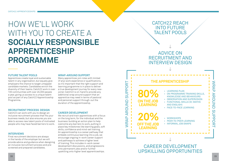# HOW WE'LL WORK WITH YOU TO CREATE A **SOCIALLY RESPONSIBLE APPRENTICESHIP PROGRAMME**

CAREER DEVELOPMENT UPSKILLING OPPORTUNITIES

• ON PROGRAMME TRAINING SKILLS, KNOWLEDGE AND BEHAVIOURS • OBSERVATION AND SUPERVISION • FUNCTIONAL SKILLS (IE: MATHS AND ENGLISH) • FACE-TO-FACE LEARNING

• PEER-TO-PEER LEARNING • INFORMAL JOB SWAPS

WRAP AROUND SUPPORT

**SUPPO** 

刀

AROUND

WRAP

### CATCH22 REACH INTO FUTURE TALENT POOLS



ADVICE ON RECRUITMENT AND

#### **FUTURE TALENT POOLS**

Apprentices create loyal and sustainable talent in any organisation, but equally give employers the chance to target untapped candidate markets. Candidates enrich the diversity of their teams. Catch22 work in over 100 communities with over 45,000 people a year, giving us access to a unique talent pool as part of any Catch22 Apprenticeship Programme.

### **RECRUITMENT PROCESS DESIGN**

Catch22 can work with you to design an inclusive recruitment process that fits your business needs, but also ensures you are able to access new talent pools of motivated people who may have faced barriers to work.

#### **INTERVIEWS**

Final recruitment decisions are always in the hands of the employer but we will provide advice and guidance when designing an inclusive recruitment process and prescreened and prepared candidates.

#### **WRAP-AROUND SUPPORT**

Many apprentices join roles with limited (if any) work experience or qualifications, so it's important that the right support and learning programme is in place to deliver a true development journey for every newjoiner. Catch22 is on-hand to provide any additional wrap around support that an apprentice may need in terms of pastoral and personal support through-out the duration of the apprenticeship.

#### **CAREER DEVELOPMENT**

We recruit and train apprentices with a focus on the long term, for the individual and the business: building an action plan to help overcome any barriers to work, putting in place key milestones like learning goals, soft skills, confidence and mind-set training. An apprenticeship is a career pathway that embeds continuous learning into a job, we encourage ongoing in-work career support and pathways to achieve a higher level of training. This includes in-work career development discussions, and progressions onto permanent jobs and/or further upskilling onto higher level apprenticeships.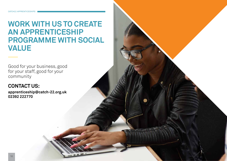## **WORK WITH US TO CREATE AN APPRENTICESHIP PROGRAMME WITH SOCIAL VALUE**

Good for your business, good for your staff, good for your community

### **CONTACT US:**

**apprenticeship@catch-22.org.uk 02392 222770**